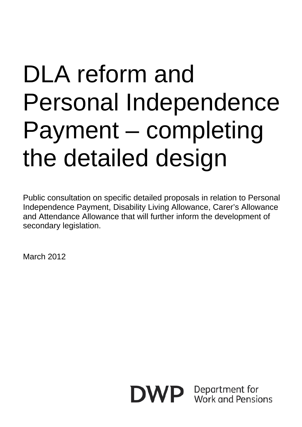# DLA reform and Personal Independence Payment – completing the detailed design

Public consultation on specific detailed proposals in relation to Personal Independence Payment, Disability Living Allowance, Carer's Allowance and Attendance Allowance that will further inform the development of secondary legislation.

March 2012

DWP.

Department for Work and Pensions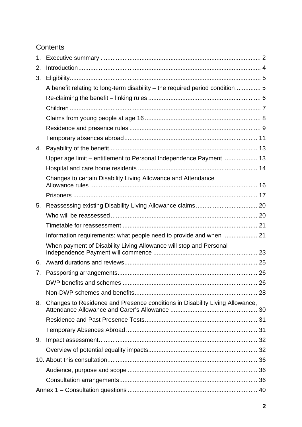### **Contents**

| 1. |                                                                              |  |
|----|------------------------------------------------------------------------------|--|
| 2. |                                                                              |  |
| 3. |                                                                              |  |
|    | A benefit relating to long-term disability - the required period condition 5 |  |
|    |                                                                              |  |
|    |                                                                              |  |
|    |                                                                              |  |
|    |                                                                              |  |
|    |                                                                              |  |
| 4. |                                                                              |  |
|    | Upper age limit - entitlement to Personal Independence Payment  13           |  |
|    |                                                                              |  |
|    | Changes to certain Disability Living Allowance and Attendance                |  |
|    |                                                                              |  |
| 5. |                                                                              |  |
|    |                                                                              |  |
|    |                                                                              |  |
|    |                                                                              |  |
|    | When payment of Disability Living Allowance will stop and Personal           |  |
| 6. |                                                                              |  |
| 7. |                                                                              |  |
|    |                                                                              |  |
|    |                                                                              |  |
| 8. | Changes to Residence and Presence conditions in Disability Living Allowance, |  |
|    |                                                                              |  |
|    |                                                                              |  |
| 9. |                                                                              |  |
|    |                                                                              |  |
|    |                                                                              |  |
|    |                                                                              |  |
|    |                                                                              |  |
|    |                                                                              |  |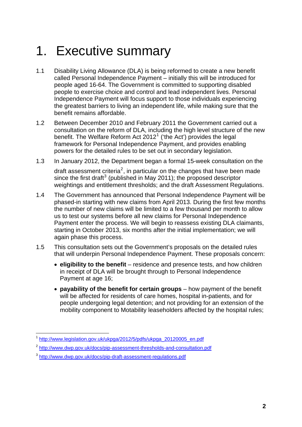## <span id="page-2-0"></span>1. Executive summary

- 1.1 Disability Living Allowance (DLA) is being reformed to create a new benefit called Personal Independence Payment – initially this will be introduced for people aged 16-64. The Government is committed to supporting disabled people to exercise choice and control and lead independent lives. Personal Independence Payment will focus support to those individuals experiencing the greatest barriers to living an independent life, while making sure that the benefit remains affordable.
- 1.2 Between December 2010 and February 2011 the Government carried out a consultation on the reform of DLA, including the high level structure of the new benefit. The Welfare Reform Act  $2012<sup>1</sup>$  $2012<sup>1</sup>$  $2012<sup>1</sup>$  ('the Act') provides the legal framework for Personal Independence Payment, and provides enabling powers for the detailed rules to be set out in secondary legislation.
- 1.3 In January 2012, the Department began a formal 15-week consultation on the draft assessment criteria<sup>[2](#page-2-2)</sup>, in particular on the changes that have been made since the first draft<sup>[3](#page-2-3)</sup> (published in May 2011); the proposed descriptor weightings and entitlement thresholds; and the draft Assessment Regulations.
- 1.4 The Government has announced that Personal Independence Payment will be phased-in starting with new claims from April 2013. During the first few months the number of new claims will be limited to a few thousand per month to allow us to test our systems before all new claims for Personal Independence Payment enter the process. We will begin to reassess existing DLA claimants, starting in October 2013, six months after the initial implementation; we will again phase this process.
- 1.5 This consultation sets out the Government's proposals on the detailed rules that will underpin Personal Independence Payment. These proposals concern:
	- **eligibility to the benefit** residence and presence tests, and how children in receipt of DLA will be brought through to Personal Independence Payment at age 16;
	- **payability of the benefit for certain groups**  how payment of the benefit will be affected for residents of care homes, hospital in-patients, and for people undergoing legal detention; and not providing for an extension of the mobility component to Motability leaseholders affected by the hospital rules;

<span id="page-2-1"></span><sup>1</sup> <sup>1</sup> [http://www.legislation.gov.uk/ukpga/2012/5/pdfs/ukpga\\_20120005\\_en.pdf](http://www.legislation.gov.uk/ukpga/2012/5/pdfs/ukpga_20120005_en.pdf)

<span id="page-2-2"></span><sup>2</sup> <http://www.dwp.gov.uk/docs/pip-assessment-thresholds-and-consultation.pdf>

<span id="page-2-3"></span><sup>3</sup> <http://www.dwp.gov.uk/docs/pip-draft-assessment-regulations.pdf>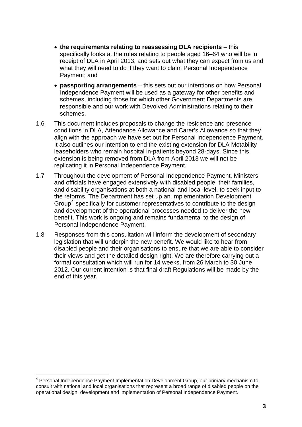- **the requirements relating to reassessing DLA recipients**  this specifically looks at the rules relating to people aged 16–64 who will be in receipt of DLA in April 2013, and sets out what they can expect from us and what they will need to do if they want to claim Personal Independence Payment; and
- **passporting arrangements**  this sets out our intentions on how Personal Independence Payment will be used as a gateway for other benefits and schemes, including those for which other Government Departments are responsible and our work with Devolved Administrations relating to their schemes.
- 1.6 This document includes proposals to change the residence and presence conditions in DLA, Attendance Allowance and Carer's Allowance so that they align with the approach we have set out for Personal Independence Payment. It also outlines our intention to end the existing extension for DLA Motability leaseholders who remain hospital in-patients beyond 28-days. Since this extension is being removed from DLA from April 2013 we will not be replicating it in Personal Independence Payment.
- 1.7 Throughout the development of Personal Independence Payment, Ministers and officials have engaged extensively with disabled people, their families, and disability organisations at both a national and local-level, to seek input to the reforms. The Department has set up an Implementation Development Group<sup>[4](#page-3-0)</sup> specifically for customer representatives to contribute to the design and development of the operational processes needed to deliver the new benefit. This work is ongoing and remains fundamental to the design of Personal Independence Payment.
- 1.8 Responses from this consultation will inform the development of secondary legislation that will underpin the new benefit. We would like to hear from disabled people and their organisations to ensure that we are able to consider their views and get the detailed design right. We are therefore carrying out a formal consultation which will run for 14 weeks, from 26 March to 30 June 2012. Our current intention is that final draft Regulations will be made by the end of this year.

1

<span id="page-3-0"></span><sup>&</sup>lt;sup>4</sup> Personal Independence Payment Implementation Development Group, our primary mechanism to consult with national and local organisations that represent a broad range of disabled people on the operational design, development and implementation of Personal Independence Payment.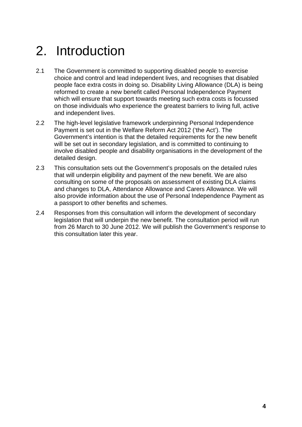## <span id="page-4-0"></span>2. Introduction

- 2.1 The Government is committed to supporting disabled people to exercise choice and control and lead independent lives, and recognises that disabled people face extra costs in doing so. Disability Living Allowance (DLA) is being reformed to create a new benefit called Personal Independence Payment which will ensure that support towards meeting such extra costs is focussed on those individuals who experience the greatest barriers to living full, active and independent lives.
- 2.2 The high-level legislative framework underpinning Personal Independence Payment is set out in the Welfare Reform Act 2012 ('the Act'). The Government's intention is that the detailed requirements for the new benefit will be set out in secondary legislation, and is committed to continuing to involve disabled people and disability organisations in the development of the detailed design.
- 2.3 This consultation sets out the Government's proposals on the detailed rules that will underpin eligibility and payment of the new benefit. We are also consulting on some of the proposals on assessment of existing DLA claims and changes to DLA, Attendance Allowance and Carers Allowance. We will also provide information about the use of Personal Independence Payment as a passport to other benefits and schemes.
- 2.4 Responses from this consultation will inform the development of secondary legislation that will underpin the new benefit. The consultation period will run from 26 March to 30 June 2012. We will publish the Government's response to this consultation later this year.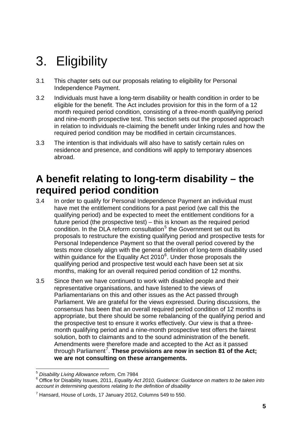## <span id="page-5-0"></span>3. Eligibility

- 3.1 This chapter sets out our proposals relating to eligibility for Personal Independence Payment.
- 3.2 Individuals must have a long-term disability or health condition in order to be eligible for the benefit. The Act includes provision for this in the form of a 12 month required period condition, consisting of a three-month qualifying period and nine-month prospective test. This section sets out the proposed approach in relation to individuals re-claiming the benefit under linking rules and how the required period condition may be modified in certain circumstances.
- 3.3 The intention is that individuals will also have to satisfy certain rules on residence and presence, and conditions will apply to temporary absences abroad.

## **A benefit relating to long-term disability – the required period condition**

- 3.4 In order to qualify for Personal Independence Payment an individual must have met the entitlement conditions for a past period (we call this the qualifying period) and be expected to meet the entitlement conditions for a future period (the prospective test) – this is known as the required period condition. In the DLA reform consultation<sup>[5](#page-5-1)</sup> the Government set out its proposals to restructure the existing qualifying period and prospective tests for Personal Independence Payment so that the overall period covered by the tests more closely align with the general definition of long-term disability used within guidance for the Equality Act 2010 $<sup>6</sup>$  $<sup>6</sup>$  $<sup>6</sup>$ . Under those proposals the</sup> qualifying period and prospective test would each have been set at six months, making for an overall required period condition of 12 months.
- 3.5 Since then we have continued to work with disabled people and their representative organisations, and have listened to the views of Parliamentarians on this and other issues as the Act passed through Parliament. We are grateful for the views expressed. During discussions, the consensus has been that an overall required period condition of 12 months is appropriate, but there should be some rebalancing of the qualifying period and the prospective test to ensure it works effectively. Our view is that a threemonth qualifying period and a nine-month prospective test offers the fairest solution, both to claimants and to the sound administration of the benefit. Amendments were therefore made and accepted to the Act as it passed through Parliament<sup>[7](#page-5-3)</sup>. These provisions are now in section 81 of the Act; **we are not consulting on these arrangements.**

<sup>1</sup> <sup>5</sup> *Disability Living Allowance reform,* Cm 7984

<span id="page-5-2"></span><span id="page-5-1"></span><sup>6</sup> Office for Disability Issues, 2011, *Equality Act 2010, Guidance: Guidance on matters to be taken into account in determining questions relating to the definition of disability*

<span id="page-5-3"></span> $7$  Hansard, House of Lords, 17 January 2012, Columns 549 to 550.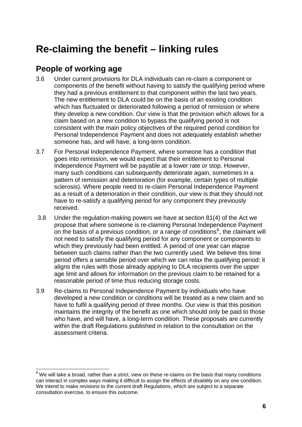## <span id="page-6-0"></span>**Re-claiming the benefit – linking rules**

## **People of working age**

1

- 3.6 Under current provisions for DLA individuals can re-claim a component or components of the benefit without having to satisfy the qualifying period where they had a previous entitlement to that component within the last two years. The new entitlement to DLA could be on the basis of an existing condition which has fluctuated or deteriorated following a period of remission or where they develop a new condition. Our view is that the provision which allows for a claim based on a new condition to bypass the qualifying period is not consistent with the main policy objectives of the required period condition for Personal Independence Payment and does not adequately establish whether someone has, and will have, a long-term condition.
- 3.7 For Personal Independence Payment, where someone has a condition that goes into remission, we would expect that their entitlement to Personal Independence Payment will be payable at a lower rate or stop. However, many such conditions can subsequently deteriorate again, sometimes in a pattern of remission and deterioration (for example, certain types of multiple sclerosis). Where people need to re-claim Personal Independence Payment as a result of a deterioration in their condition, our view is that they should not have to re-satisfy a qualifying period for any component they previously received.
- 3.8 Under the regulation-making powers we have at section 81(4) of the Act we propose that where someone is re-claiming Personal Independence Payment on the basis of a previous condition, or a range of conditions<sup>[8](#page-6-1)</sup>, the claimant will not need to satisfy the qualifying period for any component or components to which they previously had been entitled. A period of one year can elapse between such claims rather than the two currently used. We believe this time period offers a sensible period over which we can relax the qualifying period; it aligns the rules with those already applying to DLA recipients over the upper age limit and allows for information on the previous claim to be retained for a reasonable period of time thus reducing storage costs.
- 3.9 Re-claims to Personal Independence Payment by individuals who have developed a new condition or conditions will be treated as a new claim and so have to fulfil a qualifying period of three months. Our view is that this position maintains the integrity of the benefit as one which should only be paid to those who have, and will have, a long-term condition. These proposals are currently within the draft Regulations published in relation to the consultation on the assessment criteria.

<span id="page-6-1"></span> $8$  We will take a broad, rather than a strict, view on these re-claims on the basis that many conditions can interact in complex ways making it difficult to assign the effects of disability on any one condition. We intend to make revisions to the current draft Regulations, which are subject to a separate consultation exercise, to ensure this outcome.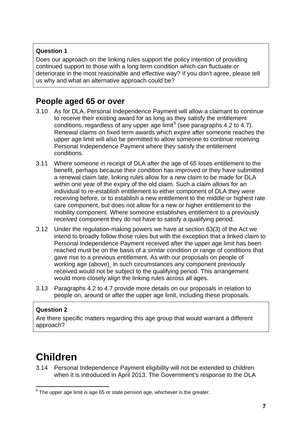### <span id="page-7-0"></span>**Question 1**

Does our approach on the linking rules support the policy intention of providing continued support to those with a long term condition which can fluctuate or deteriorate in the most reasonable and effective way? If you don't agree, please tell us why and what an alternative approach could be?

### **People aged 65 or over**

- 3.10 As for DLA, Personal Independence Payment will allow a claimant to continue to receive their existing award for as long as they satisfy the entitlement conditions, regardless of any upper age  $\text{limit}^9$  $\text{limit}^9$  (see paragraphs 4.2 to 4.7). Renewal claims on fixed term awards which expire after someone reaches the upper age limit will also be permitted to allow someone to continue receiving Personal Independence Payment where they satisfy the entitlement conditions.
- 3.11 Where someone in receipt of DLA after the age of 65 loses entitlement to the benefit, perhaps because their condition has improved or they have submitted a renewal claim late, linking rules allow for a new claim to be made for DLA within one year of the expiry of the old claim. Such a claim allows for an individual to re-establish entitlement to either component of DLA they were receiving before, or to establish a new entitlement to the middle or highest rate care component, but does not allow for a new or higher entitlement to the mobility component. Where someone establishes entitlement to a previously received component they do not have to satisfy a qualifying period.
- 3.12 Under the regulation-making powers we have at section 83(3) of the Act we intend to broadly follow those rules but with the exception that a linked claim to Personal Independence Payment received after the upper age limit has been reached must be on the basis of a similar condition or range of conditions that gave rise to a previous entitlement. As with our proposals on people of working age (above) in such circumstances any component previously received would not be subject to the qualifying period. This arrangement would more closely align the linking rules across all ages.
- 3.13 Paragraphs 4.2 to 4.7 provide more details on our proposals in relation to people on, around or after the upper age limit, including these proposals.

### **Question 2**

Are there specific matters regarding this age group that would warrant a different approach?

## **Children**

3.14 Personal Independence Payment eligibility will not be extended to children when it is introduced in April 2013. The Government's response to the DLA

<span id="page-7-1"></span><sup>1</sup>  $9$  The upper age limit is age 65 or state pension age, whichever is the greater.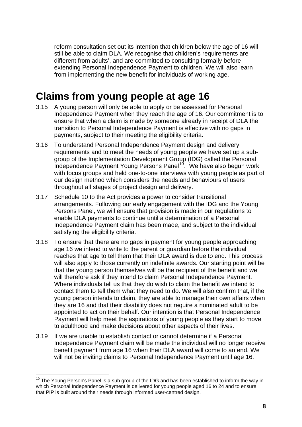<span id="page-8-0"></span>reform consultation set out its intention that children below the age of 16 will still be able to claim DLA. We recognise that children's requirements are different from adults', and are committed to consulting formally before extending Personal Independence Payment to children. We will also learn from implementing the new benefit for individuals of working age.

## **Claims from young people at age 16**

- 3.15 A young person will only be able to apply or be assessed for Personal Independence Payment when they reach the age of 16. Our commitment is to ensure that when a claim is made by someone already in receipt of DLA the transition to Personal Independence Payment is effective with no gaps in payments, subject to their meeting the eligibility criteria.
- 3.16 To understand Personal Independence Payment design and delivery requirements and to meet the needs of young people we have set up a subgroup of the Implementation Development Group (IDG) called the Personal Independence Payment Young Persons Panel<sup>[10](#page-8-1)</sup>. We have also begun work with focus groups and held one-to-one interviews with young people as part of our design method which considers the needs and behaviours of users throughout all stages of project design and delivery.
- 3.17 Schedule 10 to the Act provides a power to consider transitional arrangements. Following our early engagement with the IDG and the Young Persons Panel, we will ensure that provision is made in our regulations to enable DLA payments to continue until a determination of a Personal Independence Payment claim has been made, and subject to the individual satisfying the eligibility criteria.
- 3.18 To ensure that there are no gaps in payment for young people approaching age 16 we intend to write to the parent or guardian before the individual reaches that age to tell them that their DLA award is due to end. This process will also apply to those currently on indefinite awards. Our starting point will be that the young person themselves will be the recipient of the benefit and we will therefore ask if they intend to claim Personal Independence Payment. Where individuals tell us that they do wish to claim the benefit we intend to contact them to tell them what they need to do. We will also confirm that, if the young person intends to claim, they are able to manage their own affairs when they are 16 and that their disability does not require a nominated adult to be appointed to act on their behalf. Our intention is that Personal Independence Payment will help meet the aspirations of young people as they start to move to adulthood and make decisions about other aspects of their lives.
- 3.19 If we are unable to establish contact or cannot determine if a Personal Independence Payment claim will be made the individual will no longer receive benefit payment from age 16 when their DLA award will come to an end. We will not be inviting claims to Personal Independence Payment until age 16.

1

<span id="page-8-1"></span> $10$  The Young Person's Panel is a sub group of the IDG and has been established to inform the way in which Personal Independence Payment is delivered for young people aged 16 to 24 and to ensure that PIP is built around their needs through informed user-centred design.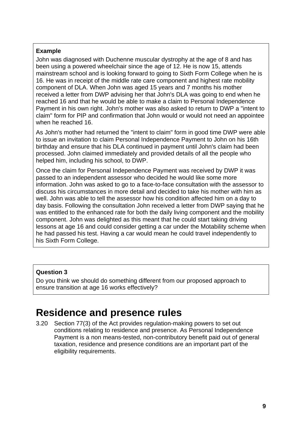### <span id="page-9-0"></span>**Example**

John was diagnosed with Duchenne muscular dystrophy at the age of 8 and has been using a powered wheelchair since the age of 12. He is now 15, attends mainstream school and is looking forward to going to Sixth Form College when he is 16. He was in receipt of the middle rate care component and highest rate mobility component of DLA. When John was aged 15 years and 7 months his mother received a letter from DWP advising her that John's DLA was going to end when he reached 16 and that he would be able to make a claim to Personal Independence Payment in his own right. John's mother was also asked to return to DWP a "intent to claim" form for PIP and confirmation that John would or would not need an appointee when he reached 16.

As John's mother had returned the "intent to claim" form in good time DWP were able to issue an invitation to claim Personal Independence Payment to John on his 16th birthday and ensure that his DLA continued in payment until John's claim had been processed. John claimed immediately and provided details of all the people who helped him, including his school, to DWP.

Once the claim for Personal Independence Payment was received by DWP it was passed to an independent assessor who decided he would like some more information. John was asked to go to a face-to-face consultation with the assessor to discuss his circumstances in more detail and decided to take his mother with him as well. John was able to tell the assessor how his condition affected him on a day to day basis. Following the consultation John received a letter from DWP saying that he was entitled to the enhanced rate for both the daily living component and the mobility component. John was delighted as this meant that he could start taking driving lessons at age 16 and could consider getting a car under the Motability scheme when he had passed his test. Having a car would mean he could travel independently to his Sixth Form College.

### **Question 3**

Do you think we should do something different from our proposed approach to ensure transition at age 16 works effectively?

## **Residence and presence rules**

3.20 Section 77(3) of the Act provides regulation-making powers to set out conditions relating to residence and presence. As Personal Independence Payment is a non means-tested, non-contributory benefit paid out of general taxation, residence and presence conditions are an important part of the eligibility requirements.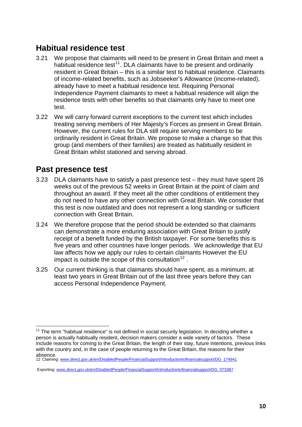### **Habitual residence test**

- 3.21 We propose that claimants will need to be present in Great Britain and meet a habitual residence test<sup>[11](#page-10-0)</sup>. DLA claimants have to be present and ordinarily resident in Great Britain – this is a similar test to habitual residence. Claimants of income-related benefits, such as Jobseeker's Allowance (income-related), already have to meet a habitual residence test. Requiring Personal Independence Payment claimants to meet a habitual residence will align the residence tests with other benefits so that claimants only have to meet one test.
- 3.22 We will carry forward current exceptions to the current test which includes treating serving members of Her Majesty's Forces as present in Great Britain. However, the current rules for DLA still require serving members to be ordinarily resident in Great Britain. We propose to make a change so that this group (and members of their families) are treated as habitually resident in Great Britain whilst stationed and serving abroad.

### **Past presence test**

- 3.23 DLA claimants have to satisfy a past presence test they must have spent 26 weeks out of the previous 52 weeks in Great Britain at the point of claim and throughout an award. If they meet all the other conditions of entitlement they do not need to have any other connection with Great Britain. We consider that this test is now outdated and does not represent a long standing or sufficient connection with Great Britain.
- 3.24 We therefore propose that the period should be extended so that claimants can demonstrate a more enduring association with Great Britain to justify receipt of a benefit funded by the British taxpayer. For some benefits this is five years and other countries have longer periods. We acknowledge that EU law affects how we apply our rules to certain claimants However the EU impact is outside the scope of this consultation<sup>[12](#page-10-1)</sup>.
- 3.25 Our current thinking is that claimants should have spent, as a minimum, at least two years in Great Britain out of the last three years before they can access Personal Independence Payment.

<span id="page-10-0"></span><sup>1</sup>  $11$  The term "habitual residence" is not defined in social security legislation. In deciding whether a person is actually habitually resident, decision makers consider a wide variety of factors. These include reasons for coming to the Great Britain, the length of their stay, future intentions, previous links with the country and, in the case of people returning to the Great Britain, the reasons for their absence.

<span id="page-10-1"></span><sup>12</sup> Claiming: [www.direct.gov.uk/en/DisabledPeople/FinancialSupport/Introductiontofinancialsupport/DG\\_174941](http://www.direct.gov.uk/en/DisabledPeople/FinancialSupport/Introductiontofinancialsupport/DG_174941)

Exporting: [www.direct.gov.uk/en/DisabledPeople/FinancialSupport/Introductiontofinancialsupport/DG\\_073387](http://www.direct.gov.uk/en/DisabledPeople/FinancialSupport/Introductiontofinancialsupport/DG_073387)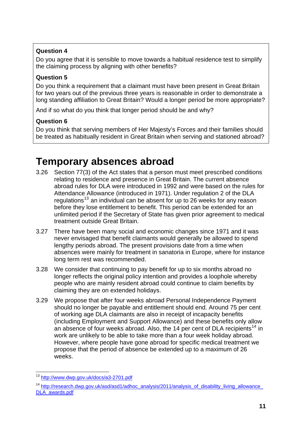### <span id="page-11-0"></span>**Question 4**

Do you agree that it is sensible to move towards a habitual residence test to simplify the claiming process by aligning with other benefits?

### **Question 5**

Do you think a requirement that a claimant must have been present in Great Britain for two years out of the previous three years is reasonable in order to demonstrate a long standing affiliation to Great Britain? Would a longer period be more appropriate?

And if so what do you think that longer period should be and why?

### **Question 6**

Do you think that serving members of Her Majesty's Forces and their families should be treated as habitually resident in Great Britain when serving and stationed abroad?

## **Temporary absences abroad**

- 3.26 Section 77(3) of the Act states that a person must meet prescribed conditions relating to residence and presence in Great Britain. The current absence abroad rules for DLA were introduced in 1992 and were based on the rules for Attendance Allowance (introduced in 1971). Under regulation 2 of the DLA regulations<sup>[13](#page-11-1)</sup> an individual can be absent for up to 26 weeks for any reason before they lose entitlement to benefit. This period can be extended for an unlimited period if the Secretary of State has given prior agreement to medical treatment outside Great Britain.
- 3.27 There have been many social and economic changes since 1971 and it was never envisaged that benefit claimants would generally be allowed to spend lengthy periods abroad. The present provisions date from a time when absences were mainly for treatment in sanatoria in Europe, where for instance long term rest was recommended.
- 3.28 We consider that continuing to pay benefit for up to six months abroad no longer reflects the original policy intention and provides a loophole whereby people who are mainly resident abroad could continue to claim benefits by claiming they are on extended holidays.
- 3.29 We propose that after four weeks abroad Personal Independence Payment should no longer be payable and entitlement should end. Around 75 per cent of working age DLA claimants are also in receipt of incapacity benefits (including Employment and Support Allowance) and these benefits only allow an absence of four weeks abroad. Also, the [14](#page-11-2) per cent of DLA recipients<sup>14</sup> in work are unlikely to be able to take more than a four week holiday abroad. However, where people have gone abroad for specific medical treatment we propose that the period of absence be extended up to a maximum of 26 weeks.

<sup>1</sup> <sup>13</sup> <http://www.dwp.gov.uk/docs/a3-2701.pdf>

<span id="page-11-2"></span><span id="page-11-1"></span><sup>&</sup>lt;sup>14</sup> [http://research.dwp.gov.uk/asd/asd1/adhoc\\_analysis/2011/analysis\\_of\\_disability\\_living\\_allowance\\_](http://research.dwp.gov.uk/asd/asd1/adhoc_analysis/2011/analysis_of_disability_living_allowance_DLA_awards.pdf) [DLA\\_awards.pdf](http://research.dwp.gov.uk/asd/asd1/adhoc_analysis/2011/analysis_of_disability_living_allowance_DLA_awards.pdf)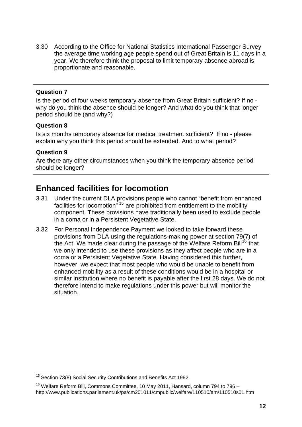3.30 According to the Office for National Statistics International Passenger Survey the average time working age people spend out of Great Britain is 11 days in a year. We therefore think the proposal to limit temporary absence abroad is proportionate and reasonable.

### **Question 7**

Is the period of four weeks temporary absence from Great Britain sufficient? If no why do you think the absence should be longer? And what do you think that longer period should be (and why?)

### **Question 8**

Is six months temporary absence for medical treatment sufficient? If no - please explain why you think this period should be extended. And to what period?

### **Question 9**

1

Are there any other circumstances when you think the temporary absence period should be longer?

### **Enhanced facilities for locomotion**

- 3.31 Under the current DLA provisions people who cannot "benefit from enhanced facilities for locomotion<sup> $\frac{15}{15}$  $\frac{15}{15}$  $\frac{15}{15}$ </sup> are prohibited from entitlement to the mobility component. These provisions have traditionally been used to exclude people in a coma or in a Persistent Vegetative State.
- 3.32 For Personal Independence Payment we looked to take forward these provisions from DLA using the regulations-making power at section 79(7) of the Act. We made clear during the passage of the Welfare Reform Bill<sup>[16](#page-12-1)</sup> that we only intended to use these provisions as they affect people who are in a coma or a Persistent Vegetative State. Having considered this further, however, we expect that most people who would be unable to benefit from enhanced mobility as a result of these conditions would be in a hospital or similar institution where no benefit is payable after the first 28 days. We do not therefore intend to make regulations under this power but will monitor the situation.

<span id="page-12-0"></span> $15$  Section 73(8) Social Security Contributions and Benefits Act 1992.

<span id="page-12-1"></span> $16$  Welfare Reform Bill, Commons Committee, 10 May 2011, Hansard, column 794 to 796 – http://www.publications.parliament.uk/pa/cm201011/cmpublic/welfare/110510/am/110510s01.htm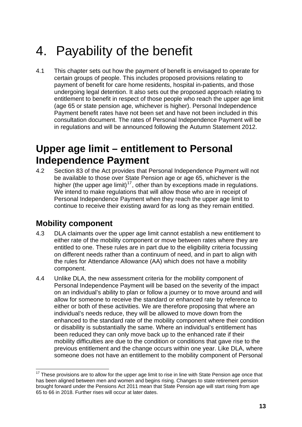## <span id="page-13-0"></span>4. Payability of the benefit

4.1 This chapter sets out how the payment of benefit is envisaged to operate for certain groups of people. This includes proposed provisions relating to payment of benefit for care home residents, hospital in-patients, and those undergoing legal detention. It also sets out the proposed approach relating to entitlement to benefit in respect of those people who reach the upper age limit (age 65 or state pension age, whichever is higher). Personal Independence Payment benefit rates have not been set and have not been included in this consultation document. The rates of Personal Independence Payment will be in regulations and will be announced following the Autumn Statement 2012.

## **Upper age limit – entitlement to Personal Independence Payment**

4.2 Section 83 of the Act provides that Personal Independence Payment will not be available to those over State Pension age or age 65, whichever is the higher (the upper age limit)<sup>[17](#page-13-1)</sup>, other than by exceptions made in regulations. We intend to make regulations that will allow those who are in receipt of Personal Independence Payment when they reach the upper age limit to continue to receive their existing award for as long as they remain entitled.

### **Mobility component**

- 4.3 DLA claimants over the upper age limit cannot establish a new entitlement to either rate of the mobility component or move between rates where they are entitled to one. These rules are in part due to the eligibility criteria focussing on different needs rather than a continuum of need, and in part to align with the rules for Attendance Allowance (AA) which does not have a mobility component.
- 4.4 Unlike DLA, the new assessment criteria for the mobility component of Personal Independence Payment will be based on the severity of the impact on an individual's ability to plan or follow a journey or to move around and will allow for someone to receive the standard or enhanced rate by reference to either or both of these activities. We are therefore proposing that where an individual's needs reduce, they will be allowed to move down from the enhanced to the standard rate of the mobility component where their condition or disability is substantially the same. Where an individual's entitlement has been reduced they can only move back up to the enhanced rate if their mobility difficulties are due to the condition or conditions that gave rise to the previous entitlement and the change occurs within one year. Like DLA, where someone does not have an entitlement to the mobility component of Personal

<span id="page-13-1"></span><sup>1</sup>  $17$  These provisions are to allow for the upper age limit to rise in line with State Pension age once that has been aligned between men and women and begins rising. Changes to state retirement pension brought forward under the Pensions Act 2011 mean that State Pension age will start rising from age 65 to 66 in 2018. Further rises will occur at later dates.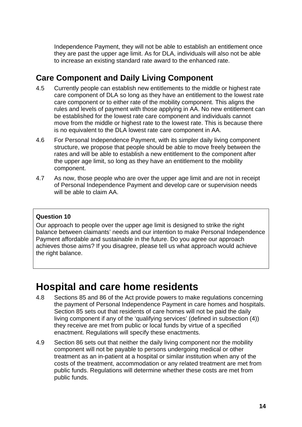<span id="page-14-0"></span>Independence Payment, they will not be able to establish an entitlement once they are past the upper age limit. As for DLA, individuals will also not be able to increase an existing standard rate award to the enhanced rate.

## **Care Component and Daily Living Component**

- 4.5 Currently people can establish new entitlements to the middle or highest rate care component of DLA so long as they have an entitlement to the lowest rate care component or to either rate of the mobility component. This aligns the rules and levels of payment with those applying in AA. No new entitlement can be established for the lowest rate care component and individuals cannot move from the middle or highest rate to the lowest rate. This is because there is no equivalent to the DLA lowest rate care component in AA.
- 4.6 For Personal Independence Payment, with its simpler daily living component structure, we propose that people should be able to move freely between the rates and will be able to establish a new entitlement to the component after the upper age limit, so long as they have an entitlement to the mobility component.
- 4.7 As now, those people who are over the upper age limit and are not in receipt of Personal Independence Payment and develop care or supervision needs will be able to claim AA.

### **Question 10**

Our approach to people over the upper age limit is designed to strike the right balance between claimants' needs and our intention to make Personal Independence Payment affordable and sustainable in the future. Do you agree our approach achieves those aims? If you disagree, please tell us what approach would achieve the right balance.

## **Hospital and care home residents**

- 4.8 Sections 85 and 86 of the Act provide powers to make regulations concerning the payment of Personal Independence Payment in care homes and hospitals. Section 85 sets out that residents of care homes will not be paid the daily living component if any of the 'qualifying services' (defined in subsection (4)) they receive are met from public or local funds by virtue of a specified enactment. Regulations will specify these enactments.
- 4.9 Section 86 sets out that neither the daily living component nor the mobility component will not be payable to persons undergoing medical or other treatment as an in-patient at a hospital or similar institution when any of the costs of the treatment, accommodation or any related treatment are met from public funds. Regulations will determine whether these costs are met from public funds.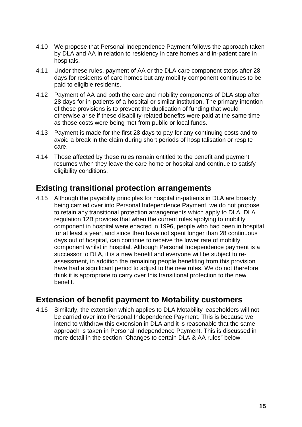- 4.10 We propose that Personal Independence Payment follows the approach taken by DLA and AA in relation to residency in care homes and in-patient care in hospitals.
- 4.11 Under these rules, payment of AA or the DLA care component stops after 28 days for residents of care homes but any mobility component continues to be paid to eligible residents.
- 4.12 Payment of AA and both the care and mobility components of DLA stop after 28 days for in-patients of a hospital or similar institution. The primary intention of these provisions is to prevent the duplication of funding that would otherwise arise if these disability-related benefits were paid at the same time as those costs were being met from public or local funds.
- 4.13 Payment is made for the first 28 days to pay for any continuing costs and to avoid a break in the claim during short periods of hospitalisation or respite care.
- 4.14 Those affected by these rules remain entitled to the benefit and payment resumes when they leave the care home or hospital and continue to satisfy eligibility conditions.

### **Existing transitional protection arrangements**

4.15 Although the payability principles for hospital in-patients in DLA are broadly being carried over into Personal Independence Payment, we do not propose to retain any transitional protection arrangements which apply to DLA. DLA regulation 12B provides that when the current rules applying to mobility component in hospital were enacted in 1996, people who had been in hospital for at least a year, and since then have not spent longer than 28 continuous days out of hospital, can continue to receive the lower rate of mobility component whilst in hospital. Although Personal Independence payment is a successor to DLA, it is a new benefit and everyone will be subject to reassessment, in addition the remaining people benefiting from this provision have had a significant period to adjust to the new rules. We do not therefore think it is appropriate to carry over this transitional protection to the new benefit.

### **Extension of benefit payment to Motability customers**

4.16 Similarly, the extension which applies to DLA Motability leaseholders will not be carried over into Personal Independence Payment. This is because we intend to withdraw this extension in DLA and it is reasonable that the same approach is taken in Personal Independence Payment. This is discussed in more detail in the section "Changes to certain DLA & AA rules" below.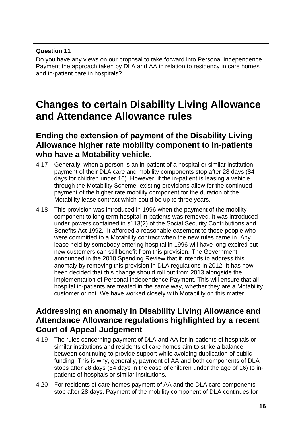### <span id="page-16-0"></span>**Question 11**

Do you have any views on our proposal to take forward into Personal Independence Payment the approach taken by DLA and AA in relation to residency in care homes and in-patient care in hospitals?

## **Changes to certain Disability Living Allowance and Attendance Allowance rules**

### **Ending the extension of payment of the Disability Living Allowance higher rate mobility component to in-patients who have a Motability vehicle.**

- 4.17 Generally, when a person is an in-patient of a hospital or similar institution, payment of their DLA care and mobility components stop after 28 days (84 days for children under 16). However, if the in-patient is leasing a vehicle through the Motability Scheme, existing provisions allow for the continued payment of the higher rate mobility component for the duration of the Motability lease contract which could be up to three years.
- 4.18 This provision was introduced in 1996 when the payment of the mobility component to long term hospital in-patients was removed. It was introduced under powers contained in s113(2) of the Social Security Contributions and Benefits Act 1992. It afforded a reasonable easement to those people who were committed to a Motability contract when the new rules came in. Any lease held by somebody entering hospital in 1996 will have long expired but new customers can still benefit from this provision. The Government announced in the 2010 Spending Review that it intends to address this anomaly by removing this provision in DLA regulations in 2012. It has now been decided that this change should roll out from 2013 alongside the implementation of Personal Independence Payment. This will ensure that all hospital in-patients are treated in the same way, whether they are a Motability customer or not. We have worked closely with Motability on this matter.

### **Addressing an anomaly in Disability Living Allowance and Attendance Allowance regulations highlighted by a recent Court of Appeal Judgement**

- 4.19 The rules concerning payment of DLA and AA for in-patients of hospitals or similar institutions and residents of care homes aim to strike a balance between continuing to provide support while avoiding duplication of public funding. This is why, generally, payment of AA and both components of DLA stops after 28 days (84 days in the case of children under the age of 16) to inpatients of hospitals or similar institutions.
- 4.20 For residents of care homes payment of AA and the DLA care components stop after 28 days. Payment of the mobility component of DLA continues for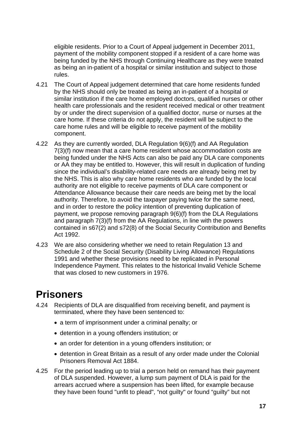<span id="page-17-0"></span>eligible residents. Prior to a Court of Appeal judgement in December 2011, payment of the mobility component stopped if a resident of a care home was being funded by the NHS through Continuing Healthcare as they were treated as being an in-patient of a hospital or similar institution and subject to those rules.

- 4.21 The Court of Appeal judgement determined that care home residents funded by the NHS should only be treated as being an in-patient of a hospital or similar institution if the care home employed doctors, qualified nurses or other health care professionals and the resident received medical or other treatment by or under the direct supervision of a qualified doctor, nurse or nurses at the care home. If these criteria do not apply, the resident will be subject to the care home rules and will be eligible to receive payment of the mobility component.
- 4.22 As they are currently worded, DLA Regulation 9(6)(f) and AA Regulation 7(3)(f) now mean that a care home resident whose accommodation costs are being funded under the NHS Acts can also be paid any DLA care components or AA they may be entitled to. However, this will result in duplication of funding since the individual's disability-related care needs are already being met by the NHS. This is also why care home residents who are funded by the local authority are not eligible to receive payments of DLA care component or Attendance Allowance because their care needs are being met by the local authority. Therefore, to avoid the taxpayer paying twice for the same need, and in order to restore the policy intention of preventing duplication of payment, we propose removing paragraph 9(6)(f) from the DLA Regulations and paragraph 7(3)(f) from the AA Regulations, in line with the powers contained in s67(2) and s72(8) of the Social Security Contribution and Benefits Act 1992.
- 4.23 We are also considering whether we need to retain Regulation 13 and Schedule 2 of the Social Security (Disability Living Allowance) Regulations 1991 and whether these provisions need to be replicated in Personal Independence Payment. This relates to the historical Invalid Vehicle Scheme that was closed to new customers in 1976.

## **Prisoners**

- 4.24 Recipients of DLA are disqualified from receiving benefit, and payment is terminated, where they have been sentenced to:
	- a term of imprisonment under a criminal penalty; or
	- detention in a young offenders institution; or
	- an order for detention in a young offenders institution; or
	- detention in Great Britain as a result of any order made under the Colonial Prisoners Removal Act 1884.
- 4.25 For the period leading up to trial a person held on remand has their payment of DLA suspended. However, a lump sum payment of DLA is paid for the arrears accrued where a suspension has been lifted, for example because they have been found "unfit to plead", "not guilty" or found "guilty" but not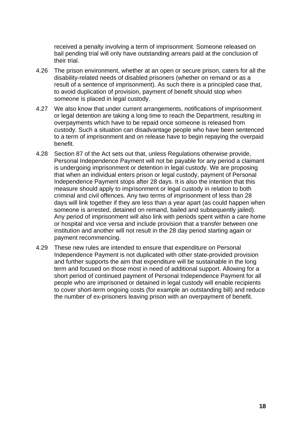received a penalty involving a term of imprisonment. Someone released on bail pending trial will only have outstanding arrears paid at the conclusion of their trial.

- 4.26 The prison environment, whether at an open or secure prison, caters for all the disability-related needs of disabled prisoners (whether on remand or as a result of a sentence of imprisonment). As such there is a principled case that, to avoid duplication of provision, payment of benefit should stop when someone is placed in legal custody.
- 4.27 We also know that under current arrangements, notifications of imprisonment or legal detention are taking a long time to reach the Department, resulting in overpayments which have to be repaid once someone is released from custody. Such a situation can disadvantage people who have been sentenced to a term of imprisonment and on release have to begin repaying the overpaid benefit.
- 4.28 Section 87 of the Act sets out that, unless Regulations otherwise provide, Personal Independence Payment will not be payable for any period a claimant is undergoing imprisonment or detention in legal custody. We are proposing that when an individual enters prison or legal custody, payment of Personal Independence Payment stops after 28 days. It is also the intention that this measure should apply to imprisonment or legal custody in relation to both criminal and civil offences. Any two terms of imprisonment of less than 28 days will link together if they are less than a year apart (as could happen when someone is arrested, detained on remand, bailed and subsequently jailed). Any period of imprisonment will also link with periods spent within a care home or hospital and vice versa and include provision that a transfer between one institution and another will not result in the 28 day period starting again or payment recommencing.
- 4.29 These new rules are intended to ensure that expenditure on Personal Independence Payment is not duplicated with other state-provided provision and further supports the aim that expenditure will be sustainable in the long term and focused on those most in need of additional support. Allowing for a short period of continued payment of Personal Independence Payment for all people who are imprisoned or detained in legal custody will enable recipients to cover short-term ongoing costs (for example an outstanding bill) and reduce the number of ex-prisoners leaving prison with an overpayment of benefit.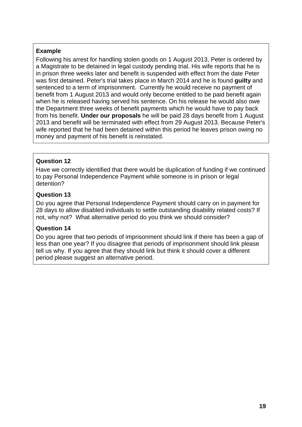### **Example**

Following his arrest for handling stolen goods on 1 August 2013, Peter is ordered by a Magistrate to be detained in legal custody pending trial. His wife reports that he is in prison three weeks later and benefit is suspended with effect from the date Peter was first detained. Peter's trial takes place in March 2014 and he is found **guilty** and sentenced to a term of imprisonment. Currently he would receive no payment of benefit from 1 August 2013 and would only become entitled to be paid benefit again when he is released having served his sentence. On his release he would also owe the Department three weeks of benefit payments which he would have to pay back from his benefit. **Under our proposals** he will be paid 28 days benefit from 1 August 2013 and benefit will be terminated with effect from 29 August 2013. Because Peter's wife reported that he had been detained within this period he leaves prison owing no money and payment of his benefit is reinstated.

### **Question 12**

Have we correctly identified that there would be duplication of funding if we continued to pay Personal Independence Payment while someone is in prison or legal detention?

### **Question 13**

Do you agree that Personal Independence Payment should carry on in payment for 28 days to allow disabled individuals to settle outstanding disability related costs? If not, why not? What alternative period do you think we should consider?

### **Question 14**

Do you agree that two periods of imprisonment should link if there has been a gap of less than one year? If you disagree that periods of imprisonment should link please tell us why. If you agree that they should link but think it should cover a different period please suggest an alternative period.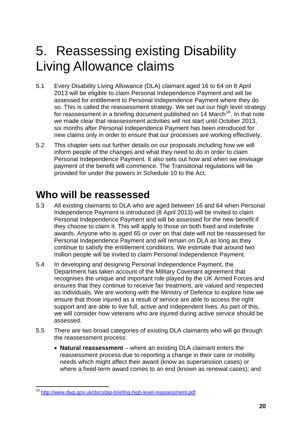## <span id="page-20-0"></span>5. Reassessing existing Disability Living Allowance claims

- 5.1 Every Disability Living Allowance (DLA) claimant aged 16 to 64 on 8 April 2013 will be eligible to claim Personal Independence Payment and will be assessed for entitlement to Personal Independence Payment where they do so. This is called the reassessment strategy. We set out our high level strategy for reassessment in a briefing document published on 14 March<sup>[18](#page-20-1)</sup>. In that note we made clear that reassessment activities will not start until October 2013, six months after Personal Independence Payment has been introduced for new claims only in order to ensure that our processes are working effectively.
- 5.2 This chapter sets out further details on our proposals including how we will inform people of the changes and what they need to do in order to claim Personal Independence Payment. It also sets out how and when we envisage payment of the benefit will commence. The Transitional regulations will be provided for under the powers in Schedule 10 to the Act.

## **Who will be reassessed**

- 5.3 All existing claimants to DLA who are aged between 16 and 64 when Personal Independence Payment is introduced (8 April 2013) will be invited to claim Personal Independence Payment and will be assessed for the new benefit if they choose to claim it. This will apply to those on both fixed and indefinite awards. Anyone who is aged 65 or over on that date will not be reassessed for Personal Independence Payment and will remain on DLA as long as they continue to satisfy the entitlement conditions. We estimate that around two million people will be invited to claim Personal Independence Payment.
- 5.4 In developing and designing Personal Independence Payment, the Department has taken account of the Military Covenant agreement that recognises the unique and important role played by the UK Armed Forces and ensures that they continue to receive fair treatment, are valued and respected as individuals. We are working with the Ministry of Defence to explore how we ensure that those injured as a result of service are able to access the right support and are able to live full, active and independent lives. As part of this, we will consider how veterans who are injured during active service should be assessed.
- 5.5 There are two broad categories of existing DLA claimants who will go through the reassessment process:
	- **Natural reassessment** where an existing DLA claimant enters the reassessment process due to reporting a change in their care or mobility needs which might affect their award (know as supersession cases) or where a fixed-term award comes to an end (known as renewal cases); and

<span id="page-20-1"></span><sup>1</sup> <sup>18</sup> <http://www.dwp.gov.uk/docs/pip-briefing-high-level-reassessment.pdf>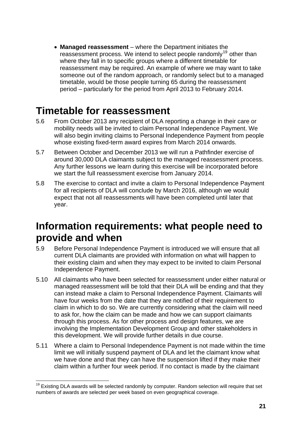<span id="page-21-0"></span>• **Managed reassessment** – where the Department initiates the reassessment process. We intend to select people randomly<sup>[19](#page-21-1)</sup> other than where they fall in to specific groups where a different timetable for reassessment may be required. An example of where we may want to take someone out of the random approach, or randomly select but to a managed timetable, would be those people turning 65 during the reassessment period – particularly for the period from April 2013 to February 2014.

## **Timetable for reassessment**

- 5.6 From October 2013 any recipient of DLA reporting a change in their care or mobility needs will be invited to claim Personal Independence Payment. We will also begin inviting claims to Personal Independence Payment from people whose existing fixed-term award expires from March 2014 onwards.
- 5.7 Between October and December 2013 we will run a Pathfinder exercise of around 30,000 DLA claimants subject to the managed reassessment process. Any further lessons we learn during this exercise will be incorporated before we start the full reassessment exercise from January 2014.
- 5.8 The exercise to contact and invite a claim to Personal Independence Payment for all recipients of DLA will conclude by March 2016, although we would expect that not all reassessments will have been completed until later that year.

## **Information requirements: what people need to provide and when**

- 5.9 Before Personal Independence Payment is introduced we will ensure that all current DLA claimants are provided with information on what will happen to their existing claim and when they may expect to be invited to claim Personal Independence Payment.
- 5.10 All claimants who have been selected for reassessment under either natural or managed reassessment will be told that their DLA will be ending and that they can instead make a claim to Personal Independence Payment. Claimants will have four weeks from the date that they are notified of their requirement to claim in which to do so. We are currently considering what the claim will need to ask for, how the claim can be made and how we can support claimants through this process. As for other process and design features, we are involving the Implementation Development Group and other stakeholders in this development. We will provide further details in due course.
- 5.11 Where a claim to Personal Independence Payment is not made within the time limit we will initially suspend payment of DLA and let the claimant know what we have done and that they can have the suspension lifted if they make their claim within a further four week period. If no contact is made by the claimant

<span id="page-21-1"></span><sup>1</sup>  $19$  Existing DLA awards will be selected randomly by computer. Random selection will require that set numbers of awards are selected per week based on even geographical coverage.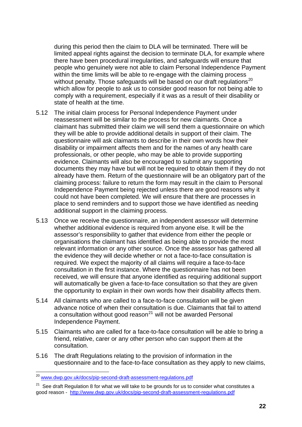during this period then the claim to DLA will be terminated. There will be limited appeal rights against the decision to terminate DLA, for example where there have been procedural irregularities, and safeguards will ensure that people who genuinely were not able to claim Personal Independence Payment within the time limits will be able to re-engage with the claiming process without penalty. Those safeguards will be based on our draft regulations<sup>[20](#page-22-0)</sup> which allow for people to ask us to consider good reason for not being able to comply with a requirement, especially if it was as a result of their disability or state of health at the time.

- 5.12 The initial claim process for Personal Independence Payment under reassessment will be similar to the process for new claimants. Once a claimant has submitted their claim we will send them a questionnaire on which they will be able to provide additional details in support of their claim. The questionnaire will ask claimants to describe in their own words how their disability or impairment affects them and for the names of any health care professionals, or other people, who may be able to provide supporting evidence. Claimants will also be encouraged to submit any supporting documents they may have but will not be required to obtain them if they do not already have them. Return of the questionnaire will be an obligatory part of the claiming process: failure to return the form may result in the claim to Personal Independence Payment being rejected unless there are good reasons why it could not have been completed. We will ensure that there are processes in place to send reminders and to support those we have identified as needing additional support in the claiming process.
- 5.13 Once we receive the questionnaire, an independent assessor will determine whether additional evidence is required from anyone else. It will be the assessor's responsibility to gather that evidence from either the people or organisations the claimant has identified as being able to provide the most relevant information or any other source. Once the assessor has gathered all the evidence they will decide whether or not a face-to-face consultation is required. We expect the majority of all claims will require a face-to-face consultation in the first instance. Where the questionnaire has not been received, we will ensure that anyone identified as requiring additional support will automatically be given a face-to-face consultation so that they are given the opportunity to explain in their own words how their disability affects them.
- 5.14 All claimants who are called to a face-to-face consultation will be given advance notice of when their consultation is due. Claimants that fail to attend a consultation without good reason $^{21}$  $^{21}$  $^{21}$  will not be awarded Personal Independence Payment.
- 5.15 Claimants who are called for a face-to-face consultation will be able to bring a friend, relative, carer or any other person who can support them at the consultation.
- 5.16 The draft Regulations relating to the provision of information in the questionnaire and to the face-to-face consultation as they apply to new claims,

1

<span id="page-22-0"></span><sup>&</sup>lt;sup>20</sup> [www.dwp.gov.uk/docs/pip-second-draft-assessment-regulations.pdf](http://www.dwp.gov.uk/docs/pip-second-draft-assessment-regulations.pdf)

<span id="page-22-1"></span> $21$  See draft Regulation 8 for what we will take to be grounds for us to consider what constitutes a good reason - <http://www.dwp.gov.uk/docs/pip-second-draft-assessment-regulations.pdf>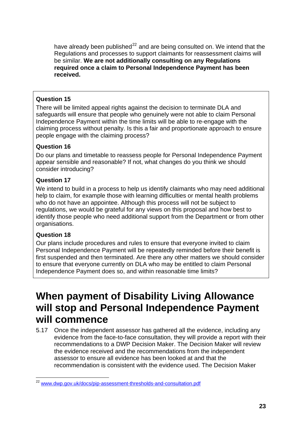<span id="page-23-0"></span>have already been published<sup>[22](#page-23-1)</sup> and are being consulted on. We intend that the Regulations and processes to support claimants for reassessment claims will be similar. **We are not additionally consulting on any Regulations required once a claim to Personal Independence Payment has been received.**

### **Question 15**

There will be limited appeal rights against the decision to terminate DLA and safeguards will ensure that people who genuinely were not able to claim Personal Independence Payment within the time limits will be able to re-engage with the claiming process without penalty. Is this a fair and proportionate approach to ensure people engage with the claiming process?

### **Question 16**

Do our plans and timetable to reassess people for Personal Independence Payment appear sensible and reasonable? If not, what changes do you think we should consider introducing?

### **Question 17**

We intend to build in a process to help us identify claimants who may need additional help to claim, for example those with learning difficulties or mental health problems who do not have an appointee. Although this process will not be subject to regulations, we would be grateful for any views on this proposal and how best to identify those people who need additional support from the Department or from other organisations.

### **Question 18**

Our plans include procedures and rules to ensure that everyone invited to claim Personal Independence Payment will be repeatedly reminded before their benefit is first suspended and then terminated. Are there any other matters we should consider to ensure that everyone currently on DLA who may be entitled to claim Personal Independence Payment does so, and within reasonable time limits?

## **When payment of Disability Living Allowance will stop and Personal Independence Payment will commence**

5.17 Once the independent assessor has gathered all the evidence, including any evidence from the face-to-face consultation, they will provide a report with their recommendations to a DWP Decision Maker. The Decision Maker will review the evidence received and the recommendations from the independent assessor to ensure all evidence has been looked at and that the recommendation is consistent with the evidence used. The Decision Maker

<span id="page-23-1"></span><sup>1</sup> <sup>22</sup> [www.dwp.gov.uk/docs/pip-assessment-thresholds-and-consultation.pdf](http://www.dwp.gov.uk/docs/pip-assessment-thresholds-and-consultation.pdf)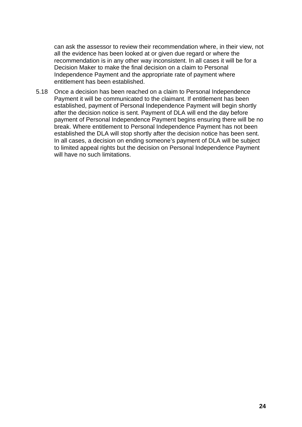can ask the assessor to review their recommendation where, in their view, not all the evidence has been looked at or given due regard or where the recommendation is in any other way inconsistent. In all cases it will be for a Decision Maker to make the final decision on a claim to Personal Independence Payment and the appropriate rate of payment where entitlement has been established.

5.18 Once a decision has been reached on a claim to Personal Independence Payment it will be communicated to the claimant. If entitlement has been established, payment of Personal Independence Payment will begin shortly after the decision notice is sent. Payment of DLA will end the day before payment of Personal Independence Payment begins ensuring there will be no break. Where entitlement to Personal Independence Payment has not been established the DLA will stop shortly after the decision notice has been sent. In all cases, a decision on ending someone's payment of DLA will be subject to limited appeal rights but the decision on Personal Independence Payment will have no such limitations.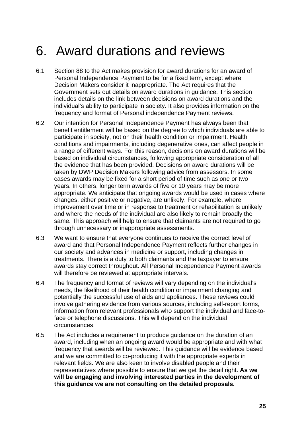## <span id="page-25-0"></span>6. Award durations and reviews

- 6.1 Section 88 to the Act makes provision for award durations for an award of Personal Independence Payment to be for a fixed term, except where Decision Makers consider it inappropriate. The Act requires that the Government sets out details on award durations in guidance. This section includes details on the link between decisions on award durations and the individual's ability to participate in society. It also provides information on the frequency and format of Personal independence Payment reviews.
- 6.2 Our intention for Personal Independence Payment has always been that benefit entitlement will be based on the degree to which individuals are able to participate in society, not on their health condition or impairment. Health conditions and impairments, including degenerative ones, can affect people in a range of different ways. For this reason, decisions on award durations will be based on individual circumstances, following appropriate consideration of all the evidence that has been provided. Decisions on award durations will be taken by DWP Decision Makers following advice from assessors. In some cases awards may be fixed for a short period of time such as one or two years. In others, longer term awards of five or 10 years may be more appropriate. We anticipate that ongoing awards would be used in cases where changes, either positive or negative, are unlikely. For example, where improvement over time or in response to treatment or rehabilitation is unlikely and where the needs of the individual are also likely to remain broadly the same. This approach will help to ensure that claimants are not required to go through unnecessary or inappropriate assessments.
- 6.3 We want to ensure that everyone continues to receive the correct level of award and that Personal Independence Payment reflects further changes in our society and advances in medicine or support, including changes in treatments. There is a duty to both claimants and the taxpayer to ensure awards stay correct throughout. All Personal Independence Payment awards will therefore be reviewed at appropriate intervals.
- 6.4 The frequency and format of reviews will vary depending on the individual's needs, the likelihood of their health condition or impairment changing and potentially the successful use of aids and appliances. These reviews could involve gathering evidence from various sources, including self-report forms, information from relevant professionals who support the individual and face-toface or telephone discussions. This will depend on the individual circumstances.
- 6.5 The Act includes a requirement to produce guidance on the duration of an award, including when an ongoing award would be appropriate and with what frequency that awards will be reviewed. This guidance will be evidence based and we are committed to co-producing it with the appropriate experts in relevant fields. We are also keen to involve disabled people and their representatives where possible to ensure that we get the detail right. **As we will be engaging and involving interested parties in the development of this guidance we are not consulting on the detailed proposals.**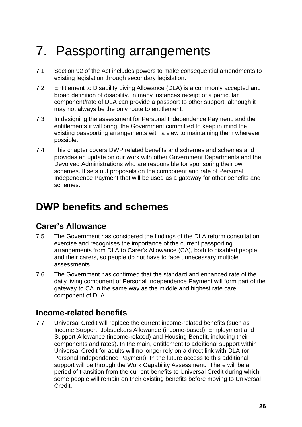## <span id="page-26-0"></span>7. Passporting arrangements

- 7.1 Section 92 of the Act includes powers to make consequential amendments to existing legislation through secondary legislation.
- 7.2 Entitlement to Disability Living Allowance (DLA) is a commonly accepted and broad definition of disability. In many instances receipt of a particular component/rate of DLA can provide a passport to other support, although it may not always be the only route to entitlement.
- 7.3 In designing the assessment for Personal Independence Payment, and the entitlements it will bring, the Government committed to keep in mind the existing passporting arrangements with a view to maintaining them wherever possible.
- 7.4 This chapter covers DWP related benefits and schemes and schemes and provides an update on our work with other Government Departments and the Devolved Administrations who are responsible for sponsoring their own schemes. It sets out proposals on the component and rate of Personal Independence Payment that will be used as a gateway for other benefits and schemes.

## **DWP benefits and schemes**

### **Carer's Allowance**

- 7.5 The Government has considered the findings of the DLA reform consultation exercise and recognises the importance of the current passporting arrangements from DLA to Carer's Allowance (CA), both to disabled people and their carers, so people do not have to face unnecessary multiple assessments.
- 7.6 The Government has confirmed that the standard and enhanced rate of the daily living component of Personal Independence Payment will form part of the gateway to CA in the same way as the middle and highest rate care component of DLA.

### **Income-related benefits**

7.7 Universal Credit will replace the current income-related benefits (such as Income Support, Jobseekers Allowance (income-based), Employment and Support Allowance (income-related) and Housing Benefit, including their components and rates). In the main, entitlement to additional support within Universal Credit for adults will no longer rely on a direct link with DLA (or Personal Independence Payment). In the future access to this additional support will be through the Work Capability Assessment. There will be a period of transition from the current benefits to Universal Credit during which some people will remain on their existing benefits before moving to Universal Credit.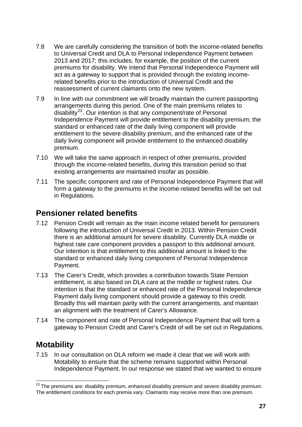- 7.8 We are carefully considering the transition of both the income-related benefits to Universal Credit and DLA to Personal Independence Payment between 2013 and 2017; this includes, for example, the position of the current premiums for disability. We intend that Personal Independence Payment will act as a gateway to support that is provided through the existing incomerelated benefits prior to the introduction of Universal Credit and the reassessment of current claimants onto the new system.
- 7.9 In line with our commitment we will broadly maintain the current passporting arrangements during this period. One of the main premiums relates to disability<sup>[23](#page-27-0)</sup>. Our intention is that any component/rate of Personal Independence Payment will provide entitlement to the disability premium; the standard or enhanced rate of the daily living component will provide entitlement to the severe disability premium, and the enhanced rate of the daily living component will provide entitlement to the enhanced disability premium.
- 7.10 We will take the same approach in respect of other premiums, provided through the income-related benefits, during this transition period so that existing arrangements are maintained insofar as possible.
- 7.11 The specific component and rate of Personal Independence Payment that will form a gateway to the premiums in the income-related benefits will be set out in Regulations.

## **Pensioner related benefits**

- 7.12 Pension Credit will remain as the main income related benefit for pensioners following the introduction of Universal Credit in 2013. Within Pension Credit there is an additional amount for severe disability. Currently DLA middle or highest rate care component provides a passport to this additional amount. Our intention is that entitlement to this additional amount is linked to the standard or enhanced daily living component of Personal Independence Payment.
- 7.13 The Carer's Credit, which provides a contribution towards State Pension entitlement, is also based on DLA care at the middle or highest rates. Our intention is that the standard or enhanced rate of the Personal Independence Payment daily living component should provide a gateway to this credit. Broadly this will maintain parity with the current arrangements, and maintain an alignment with the treatment of Carer's Allowance.
- 7.14 The component and rate of Personal Independence Payment that will form a gateway to Pension Credit and Carer's Credit of will be set out in Regulations.

## **Motability**

7.15 In our consultation on DLA reform we made it clear that we will work with Motability to ensure that the scheme remains supported within Personal Independence Payment. In our response we stated that we wanted to ensure

<span id="page-27-0"></span><sup>1</sup>  $^{23}$  The premiums are: disability premium, enhanced disability premium and severe disability premium. The entitlement conditions for each premia vary. Claimants may receive more than one premium.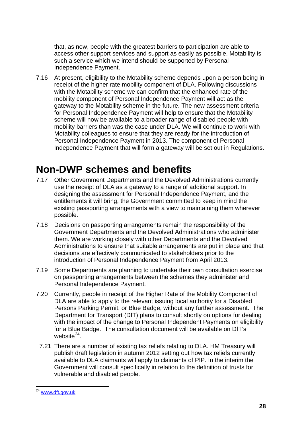<span id="page-28-0"></span>that, as now, people with the greatest barriers to participation are able to access other support services and support as easily as possible. Motability is such a service which we intend should be supported by Personal Independence Payment.

7.16 At present, eligibility to the Motability scheme depends upon a person being in receipt of the higher rate mobility component of DLA. Following discussions with the Motability scheme we can confirm that the enhanced rate of the mobility component of Personal Independence Payment will act as the gateway to the Motability scheme in the future. The new assessment criteria for Personal Independence Payment will help to ensure that the Motability scheme will now be available to a broader range of disabled people with mobility barriers than was the case under DLA. We will continue to work with Motability colleagues to ensure that they are ready for the introduction of Personal Independence Payment in 2013. The component of Personal Independence Payment that will form a gateway will be set out in Regulations.

## **Non-DWP schemes and benefits**

- 7.17 Other Government Departments and the Devolved Administrations currently use the receipt of DLA as a gateway to a range of additional support. In designing the assessment for Personal Independence Payment, and the entitlements it will bring, the Government committed to keep in mind the existing passporting arrangements with a view to maintaining them wherever possible.
- 7.18 Decisions on passporting arrangements remain the responsibility of the Government Departments and the Devolved Administrations who administer them. We are working closely with other Departments and the Devolved Administrations to ensure that suitable arrangements are put in place and that decisions are effectively communicated to stakeholders prior to the introduction of Personal Independence Payment from April 2013.
- 7.19 Some Departments are planning to undertake their own consultation exercise on passporting arrangements between the schemes they administer and Personal Independence Payment.
- 7.20 Currently, people in receipt of the Higher Rate of the Mobility Component of DLA are able to apply to the relevant issuing local authority for a Disabled Persons Parking Permit, or Blue Badge, without any further assessment. The Department for Transport (DfT) plans to consult shortly on options for dealing with the impact of the change to Personal Independent Payments on eligibility for a Blue Badge. The consultation document will be available on DfT's website $^{24}$  $^{24}$  $^{24}$ .
	- 7.21 There are a number of existing tax reliefs relating to DLA. HM Treasury will publish draft legislation in autumn 2012 setting out how tax reliefs currently available to DLA claimants will apply to claimants of PIP. In the interim the Government will consult specifically in relation to the definition of trusts for vulnerable and disabled people.

<span id="page-28-1"></span><sup>1</sup> <sup>24</sup> [www.dft.gov.uk](http://www.dft.gov.uk/)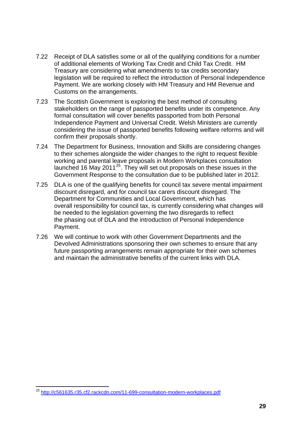- 7.22 Receipt of DLA satisfies some or all of the qualifying conditions for a number of additional elements of Working Tax Credit and Child Tax Credit. HM Treasury are considering what amendments to tax credits secondary legislation will be required to reflect the introduction of Personal Independence Payment. We are working closely with HM Treasury and HM Revenue and Customs on the arrangements.
- 7.23 The Scottish Government is exploring the best method of consulting stakeholders on the range of passported benefits under its competence. Any formal consultation will cover benefits passported from both Personal Independence Payment and Universal Credit. Welsh Ministers are currently considering the issue of passported benefits following welfare reforms and will confirm their proposals shortly.
- 7.24 The Department for Business, Innovation and Skills are considering changes to their schemes alongside the wider changes to the right to request flexible working and parental leave proposals in Modern Workplaces consultation launched 16 May 2011<sup>[25](#page-29-0)</sup>. They will set out proposals on these issues in the Government Response to the consultation due to be published later in 2012.
- 7.25 DLA is one of the qualifying benefits for council tax severe mental impairment discount disregard, and for council tax carers discount disregard. The Department for Communities and Local Government, which has overall responsibility for council tax, is currently considering what changes will be needed to the legislation governing the two disregards to reflect the phasing out of DLA and the introduction of Personal Independence Payment.
- 7.26 We will continue to work with other Government Departments and the Devolved Administrations sponsoring their own schemes to ensure that any future passporting arrangements remain appropriate for their own schemes and maintain the administrative benefits of the current links with DLA.

<span id="page-29-0"></span><sup>1</sup> <sup>25</sup> <http://c561635.r35.cf2.rackcdn.com/11-699-consultation-modern-workplaces.pdf>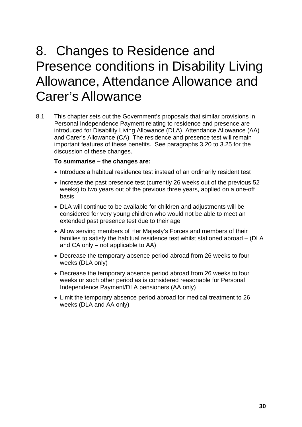## <span id="page-30-0"></span>8. Changes to Residence and Presence conditions in Disability Living Allowance, Attendance Allowance and Carer's Allowance

8.1 This chapter sets out the Government's proposals that similar provisions in Personal Independence Payment relating to residence and presence are introduced for Disability Living Allowance (DLA), Attendance Allowance (AA) and Carer's Allowance (CA). The residence and presence test will remain important features of these benefits. See paragraphs 3.20 to 3.25 for the discussion of these changes.

#### **To summarise – the changes are:**

- Introduce a habitual residence test instead of an ordinarily resident test
- Increase the past presence test (currently 26 weeks out of the previous 52 weeks) to two years out of the previous three years, applied on a one-off basis
- DLA will continue to be available for children and adjustments will be considered for very young children who would not be able to meet an extended past presence test due to their age
- Allow serving members of Her Majesty's Forces and members of their families to satisfy the habitual residence test whilst stationed abroad – (DLA and CA only – not applicable to AA)
- Decrease the temporary absence period abroad from 26 weeks to four weeks (DLA only)
- Decrease the temporary absence period abroad from 26 weeks to four weeks or such other period as is considered reasonable for Personal Independence Payment/DLA pensioners (AA only)
- Limit the temporary absence period abroad for medical treatment to 26 weeks (DLA and AA only)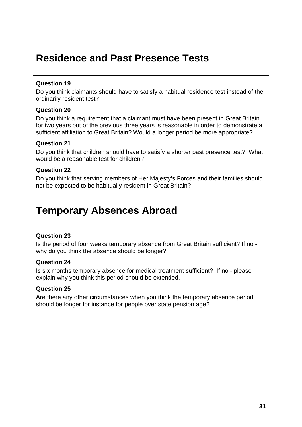## <span id="page-31-0"></span>**Residence and Past Presence Tests**

### **Question 19**

Do you think claimants should have to satisfy a habitual residence test instead of the ordinarily resident test?

### **Question 20**

Do you think a requirement that a claimant must have been present in Great Britain for two years out of the previous three years is reasonable in order to demonstrate a sufficient affiliation to Great Britain? Would a longer period be more appropriate?

### **Question 21**

Do you think that children should have to satisfy a shorter past presence test? What would be a reasonable test for children?

### **Question 22**

Do you think that serving members of Her Majesty's Forces and their families should not be expected to be habitually resident in Great Britain?

## **Temporary Absences Abroad**

### **Question 23**

Is the period of four weeks temporary absence from Great Britain sufficient? If no why do you think the absence should be longer?

### **Question 24**

Is six months temporary absence for medical treatment sufficient? If no - please explain why you think this period should be extended.

### **Question 25**

Are there any other circumstances when you think the temporary absence period should be longer for instance for people over state pension age?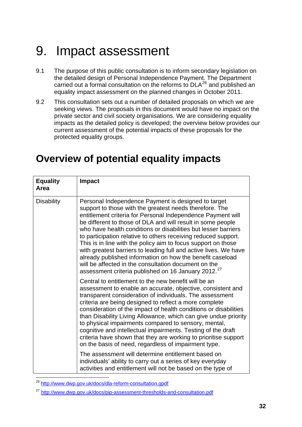## <span id="page-32-0"></span>9. Impact assessment

- 9.1 The purpose of this public consultation is to inform secondary legislation on the detailed design of Personal Independence Payment. The Department carried out a formal consultation on the reforms to  $DLA^{26}$  $DLA^{26}$  $DLA^{26}$  and published an equality impact assessment on the planned changes in October 2011.
- 9.2 This consultation sets out a number of detailed proposals on which we are seeking views. The proposals in this document would have no impact on the private sector and civil society organisations. We are considering equality impacts as the detailed policy is developed; the overview below provides our current assessment of the potential impacts of these proposals for the protected equality groups.

## **Overview of potential equality impacts**

| <b>Equality</b><br>Area | <b>Impact</b>                                                                                                                                                                                                                                                                                                                                                                                                                                                                                                                                                                                                                                                                                                                                                                                                          |
|-------------------------|------------------------------------------------------------------------------------------------------------------------------------------------------------------------------------------------------------------------------------------------------------------------------------------------------------------------------------------------------------------------------------------------------------------------------------------------------------------------------------------------------------------------------------------------------------------------------------------------------------------------------------------------------------------------------------------------------------------------------------------------------------------------------------------------------------------------|
| <b>Disability</b>       | Personal Independence Payment is designed to target<br>support to those with the greatest needs therefore. The<br>entitlement criteria for Personal Independence Payment will<br>be different to those of DLA and will result in some people<br>who have health conditions or disabilities but lesser barriers<br>to participation relative to others receiving reduced support.<br>This is in line with the policy aim to focus support on those<br>with greatest barriers to leading full and active lives. We have<br>already published information on how the benefit caseload<br>will be affected in the consultation document on the<br>assessment criteria published on 16 January 2012. <sup>27</sup>                                                                                                          |
|                         | Central to entitlement to the new benefit will be an<br>assessment to enable an accurate, objective, consistent and<br>transparent consideration of individuals. The assessment<br>criteria are being designed to reflect a more complete<br>consideration of the impact of health conditions or disabilities<br>than Disability Living Allowance, which can give undue priority<br>to physical impairments compared to sensory, mental,<br>cognitive and intellectual impairments. Testing of the draft<br>criteria have shown that they are working to prioritise support<br>on the basis of need, regardless of impairment type.<br>The assessment will determine entitlement based on<br>individuals' ability to carry out a series of key everyday<br>activities and entitlement will not be based on the type of |

<span id="page-32-1"></span><sup>&</sup>lt;sup>26</sup> [http://www.dwp.gov.uk/docs/dla-reform-consultation.gpdf](http://www.dwp.gov.uk/docs/dla-reform-consultation.pdf)

1

<span id="page-32-2"></span><sup>27</sup> <http://www.dwp.gov.uk/docs/pip-assessment-thresholds-and-consultation.pdf>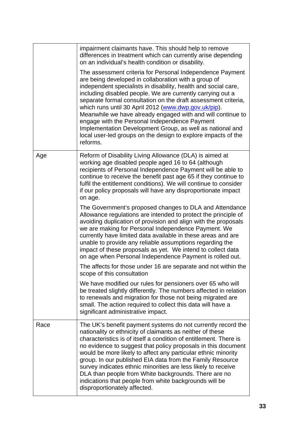|      | impairment claimants have. This should help to remove<br>differences in treatment which can currently arise depending<br>on an individual's health condition or disability.<br>The assessment criteria for Personal Independence Payment<br>are being developed in collaboration with a group of<br>independent specialists in disability, health and social care,<br>including disabled people. We are currently carrying out a<br>separate formal consultation on the draft assessment criteria,<br>which runs until 30 April 2012 (www.dwp.gov.uk/pip).<br>Meanwhile we have already engaged with and will continue to<br>engage with the Personal Independence Payment<br>Implementation Development Group, as well as national and<br>local user-led groups on the design to explore impacts of the<br>reforms.                                                                                                                                                                                                                                                                                                                                                                                                                                                                                                |
|------|---------------------------------------------------------------------------------------------------------------------------------------------------------------------------------------------------------------------------------------------------------------------------------------------------------------------------------------------------------------------------------------------------------------------------------------------------------------------------------------------------------------------------------------------------------------------------------------------------------------------------------------------------------------------------------------------------------------------------------------------------------------------------------------------------------------------------------------------------------------------------------------------------------------------------------------------------------------------------------------------------------------------------------------------------------------------------------------------------------------------------------------------------------------------------------------------------------------------------------------------------------------------------------------------------------------------|
| Age  | Reform of Disability Living Allowance (DLA) is aimed at<br>working age disabled people aged 16 to 64 (although<br>recipients of Personal Independence Payment will be able to<br>continue to receive the benefit past age 65 if they continue to<br>fulfil the entitlement conditions). We will continue to consider<br>if our policy proposals will have any disproportionate impact<br>on age.<br>The Government's proposed changes to DLA and Attendance<br>Allowance regulations are intended to protect the principle of<br>avoiding duplication of provision and align with the proposals<br>we are making for Personal Independence Payment. We<br>currently have limited data available in these areas and are<br>unable to provide any reliable assumptions regarding the<br>impact of these proposals as yet. We intend to collect data<br>on age when Personal Independence Payment is rolled out.<br>The affects for those under 16 are separate and not within the<br>scope of this consultation<br>We have modified our rules for pensioners over 65 who will<br>be treated slightly differently. The numbers affected in relation<br>to renewals and migration for those not being migrated are<br>small. The action required to collect this data will have a<br>significant administrative impact. |
| Race | The UK's benefit payment systems do not currently record the<br>nationality or ethnicity of claimants as neither of these<br>characteristics is of itself a condition of entitlement. There is<br>no evidence to suggest that policy proposals in this document<br>would be more likely to affect any particular ethnic minority<br>group. In our published EIA data from the Family Resource<br>survey indicates ethnic minorities are less likely to receive<br>DLA than people from White backgrounds. There are no<br>indications that people from white backgrounds will be<br>disproportionately affected.                                                                                                                                                                                                                                                                                                                                                                                                                                                                                                                                                                                                                                                                                                    |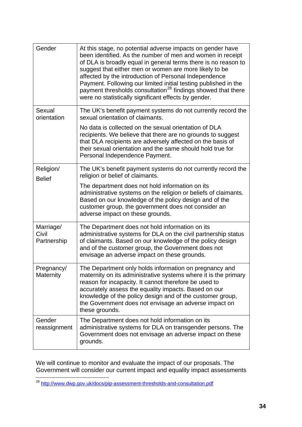| Gender                            | At this stage, no potential adverse impacts on gender have<br>been identified. As the number of men and women in receipt<br>of DLA is broadly equal in general terms there is no reason to<br>suggest that either men or women are more likely to be<br>affected by the introduction of Personal Independence<br>Payment. Following our limited initial testing published in the<br>payment thresholds consultation <sup>28</sup> findings showed that there<br>were no statistically significant effects by gender. |
|-----------------------------------|----------------------------------------------------------------------------------------------------------------------------------------------------------------------------------------------------------------------------------------------------------------------------------------------------------------------------------------------------------------------------------------------------------------------------------------------------------------------------------------------------------------------|
| Sexual<br>orientation             | The UK's benefit payment systems do not currently record the<br>sexual orientation of claimants.<br>No data is collected on the sexual orientation of DLA<br>recipients. We believe that there are no grounds to suggest<br>that DLA recipients are adversely affected on the basis of<br>their sexual orientation and the same should hold true for<br>Personal Independence Payment.                                                                                                                               |
| Religion/<br><b>Belief</b>        | The UK's benefit payment systems do not currently record the<br>religion or belief of claimants.<br>The department does not hold information on its<br>administrative systems on the religion or beliefs of claimants.<br>Based on our knowledge of the policy design and of the<br>customer group, the government does not consider an<br>adverse impact on these grounds.                                                                                                                                          |
| Marriage/<br>Civil<br>Partnership | The Department does not hold information on its<br>administrative systems for DLA on the civil partnership status<br>of claimants. Based on our knowledge of the policy design<br>and of the customer group, the Government does not<br>envisage an adverse impact on these grounds.                                                                                                                                                                                                                                 |
| Pregnancy/<br><b>Maternity</b>    | The Department only holds information on pregnancy and<br>maternity on its administrative systems where it is the primary<br>reason for incapacity. It cannot therefore be used to<br>accurately assess the equality impacts. Based on our<br>knowledge of the policy design and of the customer group,<br>the Government does not envisage an adverse impact on<br>these grounds.                                                                                                                                   |
| Gender<br>reassignment            | The Department does not hold information on its<br>administrative systems for DLA on transgender persons. The<br>Government does not envisage an adverse impact on these<br>grounds.                                                                                                                                                                                                                                                                                                                                 |

We will continue to monitor and evaluate the impact of our proposals. The Government will consider our current impact and equality impact assessments

<span id="page-34-0"></span><sup>1</sup> <sup>28</sup> <http://www.dwp.gov.uk/docs/pip-assessment-thresholds-and-consultation.pdf>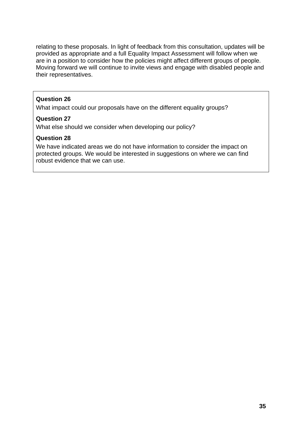relating to these proposals. In light of feedback from this consultation, updates will be provided as appropriate and a full Equality Impact Assessment will follow when we are in a position to consider how the policies might affect different groups of people. Moving forward we will continue to invite views and engage with disabled people and their representatives.

#### **Question 26**

What impact could our proposals have on the different equality groups?

### **Question 27**

What else should we consider when developing our policy?

#### **Question 28**

We have indicated areas we do not have information to consider the impact on protected groups. We would be interested in suggestions on where we can find robust evidence that we can use.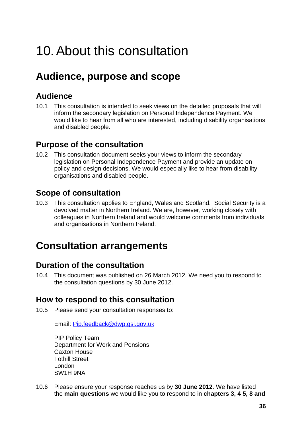## <span id="page-36-0"></span>10. About this consultation

## **Audience, purpose and scope**

## **Audience**

10.1 This consultation is intended to seek views on the detailed proposals that will inform the secondary legislation on Personal Independence Payment. We would like to hear from all who are interested, including disability organisations and disabled people.

## **Purpose of the consultation**

10.2 This consultation document seeks your views to inform the secondary legislation on Personal Independence Payment and provide an update on policy and design decisions. We would especially like to hear from disability organisations and disabled people.

## **Scope of consultation**

10.3 This consultation applies to England, Wales and Scotland. Social Security is a devolved matter in Northern Ireland. We are, however, working closely with colleagues in Northern Ireland and would welcome comments from individuals and organisations in Northern Ireland.

## **Consultation arrangements**

### **Duration of the consultation**

10.4 This document was published on 26 March 2012. We need you to respond to the consultation questions by 30 June 2012.

## **How to respond to this consultation**

10.5 Please send your consultation responses to:

Email: [Pip.feedback@dwp.gsi.gov.uk](mailto:Pip.feedback@dwp.gsi.gov.uk)

PIP Policy Team Department for Work and Pensions Caxton House Tothill Street London SW1H 9NA

10.6 Please ensure your response reaches us by **30 June 2012**. We have listed the **main questions** we would like you to respond to in **chapters 3, 4 5, 8 and**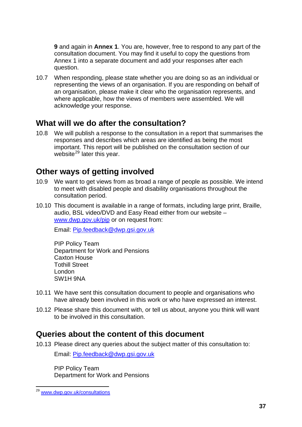**9** and again in **Annex 1**. You are, however, free to respond to any part of the consultation document. You may find it useful to copy the questions from Annex 1 into a separate document and add your responses after each question.

10.7 When responding, please state whether you are doing so as an individual or representing the views of an organisation. If you are responding on behalf of an organisation, please make it clear who the organisation represents, and where applicable, how the views of members were assembled. We will acknowledge your response.

### **What will we do after the consultation?**

10.8 We will publish a response to the consultation in a report that summarises the responses and describes which areas are identified as being the most important. This report will be published on the consultation section of our website<sup>[29](#page-37-0)</sup> later this year.

### **Other ways of getting involved**

- 10.9 We want to get views from as broad a range of people as possible. We intend to meet with disabled people and disability organisations throughout the consultation period.
- 10.10 This document is available in a range of formats, including large print, Braille, audio, BSL video/DVD and Easy Read either from our website – [www.dwp.gov.uk/pip](http://www.dwp.gov.uk/pip/) or on request from:

Email: [Pip.feedback@dwp.gsi.gov.uk](mailto:Pip.feedback@dwp.gsi.gov.uk)

PIP Policy Team Department for Work and Pensions Caxton House Tothill Street London SW1H 9NA

- 10.11 We have sent this consultation document to people and organisations who have already been involved in this work or who have expressed an interest.
- 10.12 Please share this document with, or tell us about, anyone you think will want to be involved in this consultation.

### **Queries about the content of this document**

10.13 Please direct any queries about the subject matter of this consultation to:

Email: [Pip.feedback@dwp.gsi.gov.uk](mailto:Pip.feedback@dwp.gsi.gov.uk)

PIP Policy Team Department for Work and Pensions

<span id="page-37-0"></span><sup>1</sup> <sup>29</sup> [www.dwp.gov.uk/consultations](http://www.dwp.gov.uk/consultations/)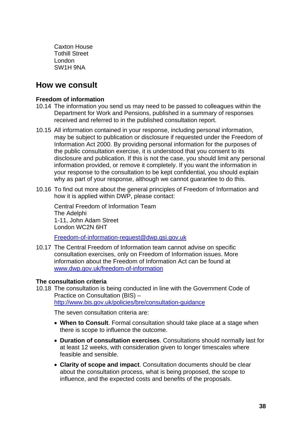Caxton House Tothill Street London SW1H 9NA

### **How we consult**

#### **Freedom of information**

- 10.14 The information you send us may need to be passed to colleagues within the Department for Work and Pensions, published in a summary of responses received and referred to in the published consultation report.
- 10.15 All information contained in your response, including personal information, may be subject to publication or disclosure if requested under the Freedom of Information Act 2000. By providing personal information for the purposes of the public consultation exercise, it is understood that you consent to its disclosure and publication. If this is not the case, you should limit any personal information provided, or remove it completely. If you want the information in your response to the consultation to be kept confidential, you should explain why as part of your response, although we cannot guarantee to do this.
- 10.16 To find out more about the general principles of Freedom of Information and how it is applied within DWP, please contact:

Central Freedom of Information Team The Adelphi 1-11, John Adam Street London WC2N 6HT

[Freedom-of-information-request@dwp.gsi.gov.uk](mailto:Freedom-of-information-request@dwp.gsi.gov.uk)

10.17 The Central Freedom of Information team cannot advise on specific consultation exercises, only on Freedom of Information issues. More information about the Freedom of Information Act can be found at [www.dwp.gov.uk/freedom-of-information](http://www.dwp.gov.uk/freedom-of-information)

### **The consultation criteria**

10.18 The consultation is being conducted in line with the Government Code of Practice on Consultation (BIS) – <http://www.bis.gov.uk/policies/bre/consultation-guidance>

The seven consultation criteria are:

- **When to Consult**. Formal consultation should take place at a stage when there is scope to influence the outcome.
- **Duration of consultation exercises**. Consultations should normally last for at least 12 weeks, with consideration given to longer timescales where feasible and sensible.
- **Clarity of scope and impact**. Consultation documents should be clear about the consultation process, what is being proposed, the scope to influence, and the expected costs and benefits of the proposals.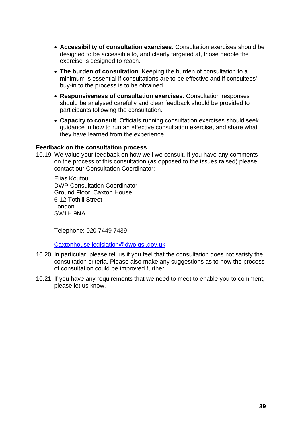- **Accessibility of consultation exercises**. Consultation exercises should be designed to be accessible to, and clearly targeted at, those people the exercise is designed to reach.
- **The burden of consultation**. Keeping the burden of consultation to a minimum is essential if consultations are to be effective and if consultees' buy-in to the process is to be obtained.
- **Responsiveness of consultation exercises**. Consultation responses should be analysed carefully and clear feedback should be provided to participants following the consultation.
- **Capacity to consult**. Officials running consultation exercises should seek guidance in how to run an effective consultation exercise, and share what they have learned from the experience.

#### **Feedback on the consultation process**

10.19 We value your feedback on how well we consult. If you have any comments on the process of this consultation (as opposed to the issues raised) please contact our Consultation Coordinator:

Elias Koufou DWP Consultation Coordinator Ground Floor, Caxton House 6-12 Tothill Street London SW1H 9NA

Telephone: 020 7449 7439

[Caxtonhouse.legislation@dwp.gsi.gov.uk](mailto:Caxtonhouse.legislation@dwp.gsi.gov.uk) 

- 10.20 In particular, please tell us if you feel that the consultation does not satisfy the consultation criteria. Please also make any suggestions as to how the process of consultation could be improved further.
- 10.21 If you have any requirements that we need to meet to enable you to comment, please let us know.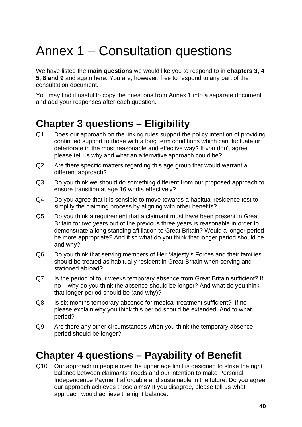## <span id="page-40-0"></span>Annex 1 – Consultation questions

We have listed the **main questions** we would like you to respond to in **chapters 3, 4 5, 8 and 9** and again here. You are, however, free to respond to any part of the consultation document.

You may find it useful to copy the questions from Annex 1 into a separate document and add your responses after each question.

## **Chapter 3 questions – Eligibility**

- Q1 Does our approach on the linking rules support the policy intention of providing continued support to those with a long term conditions which can fluctuate or deteriorate in the most reasonable and effective way? If you don't agree, please tell us why and what an alternative approach could be?
- Q2 Are there specific matters regarding this age group that would warrant a different approach?
- Q3 Do you think we should do something different from our proposed approach to ensure transition at age 16 works effectively?
- Q4 Do you agree that it is sensible to move towards a habitual residence test to simplify the claiming process by aligning with other benefits?
- Q5 Do you think a requirement that a claimant must have been present in Great Britain for two years out of the previous three years is reasonable in order to demonstrate a long standing affiliation to Great Britain? Would a longer period be more appropriate? And if so what do you think that longer period should be and why?
- Q6 Do you think that serving members of Her Majesty's Forces and their families should be treated as habitually resident in Great Britain when serving and stationed abroad?
- Q7 Is the period of four weeks temporary absence from Great Britain sufficient? If no – why do you think the absence should be longer? And what do you think that longer period should be (and why)?
- Q8 Is six months temporary absence for medical treatment sufficient? If no please explain why you think this period should be extended. And to what period?
- Q9 Are there any other circumstances when you think the temporary absence period should be longer?

## **Chapter 4 questions – Payability of Benefit**

Q10 Our approach to people over the upper age limit is designed to strike the right balance between claimants' needs and our intention to make Personal Independence Payment affordable and sustainable in the future. Do you agree our approach achieves those aims? If you disagree, please tell us what approach would achieve the right balance.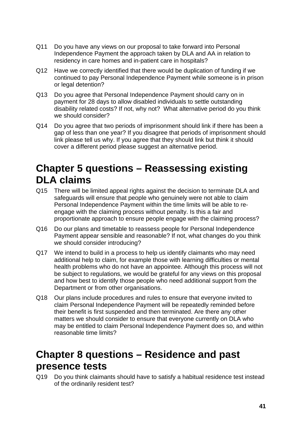- Q11 Do you have any views on our proposal to take forward into Personal Independence Payment the approach taken by DLA and AA in relation to residency in care homes and in-patient care in hospitals?
- Q12 Have we correctly identified that there would be duplication of funding if we continued to pay Personal Independence Payment while someone is in prison or legal detention?
- Q13 Do you agree that Personal Independence Payment should carry on in payment for 28 days to allow disabled individuals to settle outstanding disability related costs? If not, why not? What alternative period do you think we should consider?
- Q14 Do you agree that two periods of imprisonment should link if there has been a gap of less than one year? If you disagree that periods of imprisonment should link please tell us why. If you agree that they should link but think it should cover a different period please suggest an alternative period.

## **Chapter 5 questions – Reassessing existing DLA claims**

- Q15 There will be limited appeal rights against the decision to terminate DLA and safeguards will ensure that people who genuinely were not able to claim Personal Independence Payment within the time limits will be able to reengage with the claiming process without penalty. Is this a fair and proportionate approach to ensure people engage with the claiming process?
- Q16 Do our plans and timetable to reassess people for Personal Independence Payment appear sensible and reasonable? If not, what changes do you think we should consider introducing?
- Q17 We intend to build in a process to help us identify claimants who may need additional help to claim, for example those with learning difficulties or mental health problems who do not have an appointee. Although this process will not be subject to regulations, we would be grateful for any views on this proposal and how best to identify those people who need additional support from the Department or from other organisations.
- Q18 Our plans include procedures and rules to ensure that everyone invited to claim Personal Independence Payment will be repeatedly reminded before their benefit is first suspended and then terminated. Are there any other matters we should consider to ensure that everyone currently on DLA who may be entitled to claim Personal Independence Payment does so, and within reasonable time limits?

## **Chapter 8 questions – Residence and past presence tests**

Q19 Do you think claimants should have to satisfy a habitual residence test instead of the ordinarily resident test?